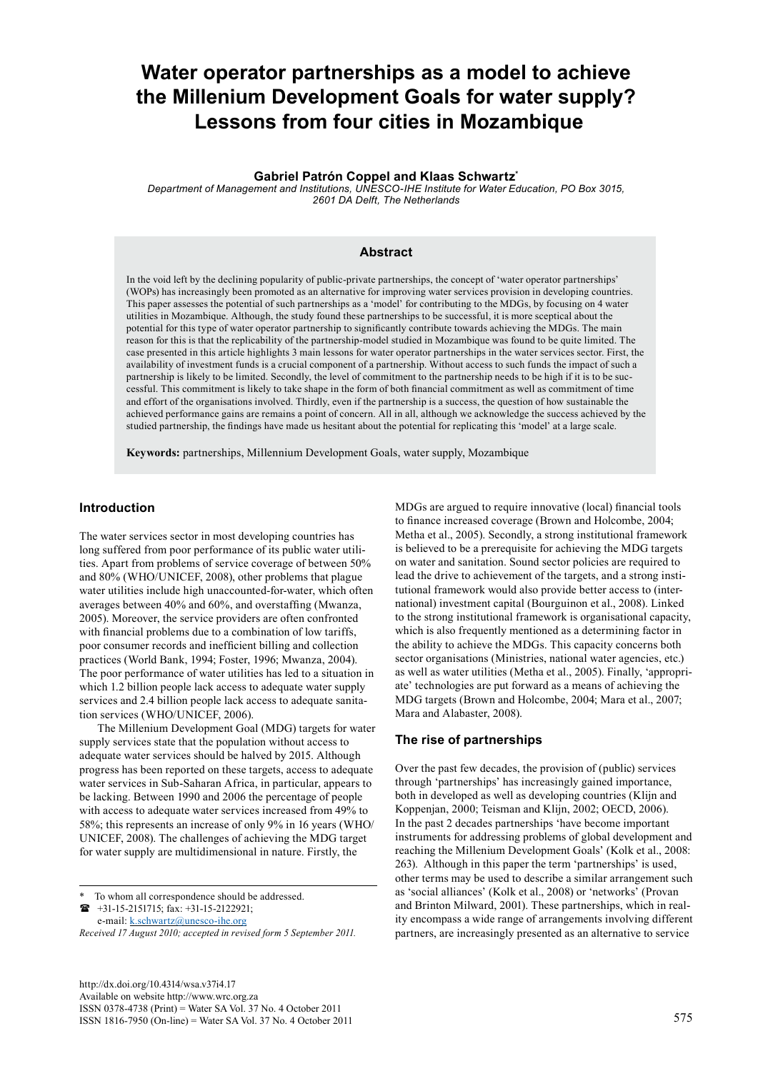# **Water operator partnerships as a model to achieve the Millenium Development Goals for water supply? Lessons from four cities in Mozambique**

#### **Gabriel Patrón Coppel and Klaas Schwartz\***

*Department of Management and Institutions, UNESCO-IHE Institute for Water Education, PO Box 3015, 2601 DA Delft, The Netherlands* 

## **Abstract**

In the void left by the declining popularity of public-private partnerships, the concept of 'water operator partnerships' (WOPs) has increasingly been promoted as an alternative for improving water services provision in developing countries. This paper assesses the potential of such partnerships as a 'model' for contributing to the MDGs, by focusing on 4 water utilities in Mozambique. Although, the study found these partnerships to be successful, it is more sceptical about the potential for this type of water operator partnership to significantly contribute towards achieving the MDGs. The main reason for this is that the replicability of the partnership-model studied in Mozambique was found to be quite limited. The case presented in this article highlights 3 main lessons for water operator partnerships in the water services sector. First, the availability of investment funds is a crucial component of a partnership. Without access to such funds the impact of such a partnership is likely to be limited. Secondly, the level of commitment to the partnership needs to be high if it is to be successful. This commitment is likely to take shape in the form of both financial commitment as well as commitment of time and effort of the organisations involved. Thirdly, even if the partnership is a success, the question of how sustainable the achieved performance gains are remains a point of concern. All in all, although we acknowledge the success achieved by the studied partnership, the findings have made us hesitant about the potential for replicating this 'model' at a large scale.

**Keywords:** partnerships, Millennium Development Goals, water supply, Mozambique

# **Introduction**

The water services sector in most developing countries has long suffered from poor performance of its public water utilities. Apart from problems of service coverage of between 50% and 80% (WHO/UNICEF, 2008), other problems that plague water utilities include high unaccounted-for-water, which often averages between 40% and 60%, and overstaffing (Mwanza, 2005). Moreover, the service providers are often confronted with financial problems due to a combination of low tariffs, poor consumer records and inefficient billing and collection practices (World Bank, 1994; Foster, 1996; Mwanza, 2004). The poor performance of water utilities has led to a situation in which 1.2 billion people lack access to adequate water supply services and 2.4 billion people lack access to adequate sanitation services (WHO/UNICEF, 2006).

The Millenium Development Goal (MDG) targets for water supply services state that the population without access to adequate water services should be halved by 2015. Although progress has been reported on these targets, access to adequate water services in Sub-Saharan Africa, in particular, appears to be lacking. Between 1990 and 2006 the percentage of people with access to adequate water services increased from 49% to 58%; this represents an increase of only 9% in 16 years (WHO/ UNICEF, 2008). The challenges of achieving the MDG target for water supply are multidimensional in nature. Firstly, the

e-mail: [k.schwartz@unesco-ihe.org](mailto:k.schwartz@unesco-ihe.org) 

*Received 17 August 2010; accepted in revised form 5 September 2011.*

<http://dx.doi.org/10.4314/wsa.v37i4.17> Available on website http://www.wrc.org.za ISSN 0378-4738 (Print) = Water SA Vol. 37 No. 4 October 2011 ISSN 1816-7950 (On-line) = Water SA Vol. 37 No. 4 October 2011 575

MDGs are argued to require innovative (local) financial tools to finance increased coverage (Brown and Holcombe, 2004; Metha et al., 2005). Secondly, a strong institutional framework is believed to be a prerequisite for achieving the MDG targets on water and sanitation. Sound sector policies are required to lead the drive to achievement of the targets, and a strong institutional framework would also provide better access to (international) investment capital (Bourguinon et al., 2008). Linked to the strong institutional framework is organisational capacity, which is also frequently mentioned as a determining factor in the ability to achieve the MDGs. This capacity concerns both sector organisations (Ministries, national water agencies, etc.) as well as water utilities (Metha et al., 2005). Finally, 'appropriate' technologies are put forward as a means of achieving the MDG targets (Brown and Holcombe, 2004; Mara et al., 2007; Mara and Alabaster, 2008).

## **The rise of partnerships**

Over the past few decades, the provision of (public) services through 'partnerships' has increasingly gained importance, both in developed as well as developing countries (Klijn and Koppenjan, 2000; Teisman and Klijn, 2002; OECD, 2006). In the past 2 decades partnerships 'have become important instruments for addressing problems of global development and reaching the Millenium Development Goals' (Kolk et al., 2008: 263). Although in this paper the term 'partnerships' is used, other terms may be used to describe a similar arrangement such as 'social alliances' (Kolk et al., 2008) or 'networks' (Provan and Brinton Milward, 2001). These partnerships, which in reality encompass a wide range of arrangements involving different partners, are increasingly presented as an alternative to service

To whom all correspondence should be addressed. +31-15-2151715; fax: +31-15-2122921;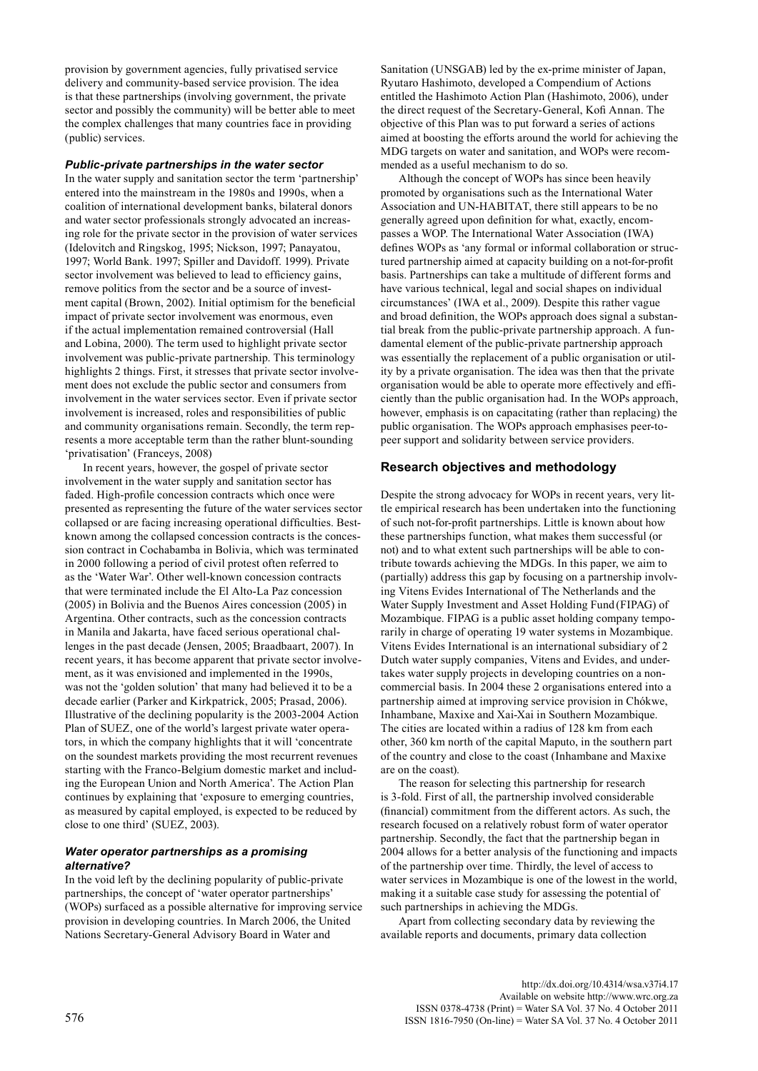provision by government agencies, fully privatised service delivery and community-based service provision. The idea is that these partnerships (involving government, the private sector and possibly the community) will be better able to meet the complex challenges that many countries face in providing (public) services.

## *Public-private partnerships in the water sector*

In the water supply and sanitation sector the term 'partnership' entered into the mainstream in the 1980s and 1990s, when a coalition of international development banks, bilateral donors and water sector professionals strongly advocated an increasing role for the private sector in the provision of water services (Idelovitch and Ringskog, 1995; Nickson, 1997; Panayatou, 1997; World Bank. 1997; Spiller and Davidoff. 1999). Private sector involvement was believed to lead to efficiency gains. remove politics from the sector and be a source of investment capital (Brown, 2002). Initial optimism for the beneficial impact of private sector involvement was enormous, even if the actual implementation remained controversial (Hall and Lobina, 2000). The term used to highlight private sector involvement was public-private partnership. This terminology highlights 2 things. First, it stresses that private sector involvement does not exclude the public sector and consumers from involvement in the water services sector. Even if private sector involvement is increased, roles and responsibilities of public and community organisations remain. Secondly, the term represents a more acceptable term than the rather blunt-sounding 'privatisation' (Franceys, 2008)

In recent years, however, the gospel of private sector involvement in the water supply and sanitation sector has faded. High-profile concession contracts which once were presented as representing the future of the water services sector collapsed or are facing increasing operational difficulties. Bestknown among the collapsed concession contracts is the concession contract in Cochabamba in Bolivia, which was terminated in 2000 following a period of civil protest often referred to as the 'Water War'. Other well-known concession contracts that were terminated include the El Alto-La Paz concession (2005) in Bolivia and the Buenos Aires concession (2005) in Argentina. Other contracts, such as the concession contracts in Manila and Jakarta, have faced serious operational challenges in the past decade (Jensen, 2005; Braadbaart, 2007). In recent years, it has become apparent that private sector involvement, as it was envisioned and implemented in the 1990s, was not the 'golden solution' that many had believed it to be a decade earlier (Parker and Kirkpatrick, 2005; Prasad, 2006). Illustrative of the declining popularity is the 2003-2004 Action Plan of SUEZ, one of the world's largest private water operators, in which the company highlights that it will 'concentrate on the soundest markets providing the most recurrent revenues starting with the Franco-Belgium domestic market and including the European Union and North America'. The Action Plan continues by explaining that 'exposure to emerging countries, as measured by capital employed, is expected to be reduced by close to one third' (SUEZ, 2003).

#### *Water operator partnerships as a promising alternative?*

In the void left by the declining popularity of public-private partnerships, the concept of 'water operator partnerships' (WOPs) surfaced as a possible alternative for improving service provision in developing countries. In March 2006, the United Nations Secretary-General Advisory Board in Water and

Sanitation (UNSGAB) led by the ex-prime minister of Japan, Ryutaro Hashimoto, developed a Compendium of Actions entitled the Hashimoto Action Plan (Hashimoto, 2006), under the direct request of the Secretary-General, Kofi Annan. The objective of this Plan was to put forward a series of actions aimed at boosting the efforts around the world for achieving the MDG targets on water and sanitation, and WOPs were recommended as a useful mechanism to do so.

Although the concept of WOPs has since been heavily promoted by organisations such as the International Water Association and UN-HABITAT, there still appears to be no generally agreed upon definition for what, exactly, encompasses a WOP. The International Water Association (IWA) defines WOPs as 'any formal or informal collaboration or structured partnership aimed at capacity building on a not-for-profit basis. Partnerships can take a multitude of different forms and have various technical, legal and social shapes on individual circumstances' (IWA et al., 2009). Despite this rather vague and broad definition, the WOPs approach does signal a substantial break from the public-private partnership approach. A fundamental element of the public-private partnership approach was essentially the replacement of a public organisation or utility by a private organisation. The idea was then that the private organisation would be able to operate more effectively and efficiently than the public organisation had. In the WOPs approach, however, emphasis is on capacitating (rather than replacing) the public organisation. The WOPs approach emphasises peer-topeer support and solidarity between service providers.

# **Research objectives and methodology**

Despite the strong advocacy for WOPs in recent years, very little empirical research has been undertaken into the functioning of such not-for-profit partnerships. Little is known about how these partnerships function, what makes them successful (or not) and to what extent such partnerships will be able to contribute towards achieving the MDGs. In this paper, we aim to (partially) address this gap by focusing on a partnership involving Vitens Evides International of The Netherlands and the Water Supply Investment and Asset Holding Fund (FIPAG) of Mozambique. FIPAG is a public asset holding company temporarily in charge of operating 19 water systems in Mozambique. Vitens Evides International is an international subsidiary of 2 Dutch water supply companies, Vitens and Evides, and undertakes water supply projects in developing countries on a noncommercial basis. In 2004 these 2 organisations entered into a partnership aimed at improving service provision in Chókwe, Inhambane, Maxixe and Xai-Xai in Southern Mozambique. The cities are located within a radius of 128 km from each other, 360 km north of the capital Maputo, in the southern part of the country and close to the coast (Inhambane and Maxixe are on the coast).

The reason for selecting this partnership for research is 3-fold. First of all, the partnership involved considerable (financial) commitment from the different actors. As such, the research focused on a relatively robust form of water operator partnership. Secondly, the fact that the partnership began in 2004 allows for a better analysis of the functioning and impacts of the partnership over time. Thirdly, the level of access to water services in Mozambique is one of the lowest in the world, making it a suitable case study for assessing the potential of such partnerships in achieving the MDGs.

Apart from collecting secondary data by reviewing the available reports and documents, primary data collection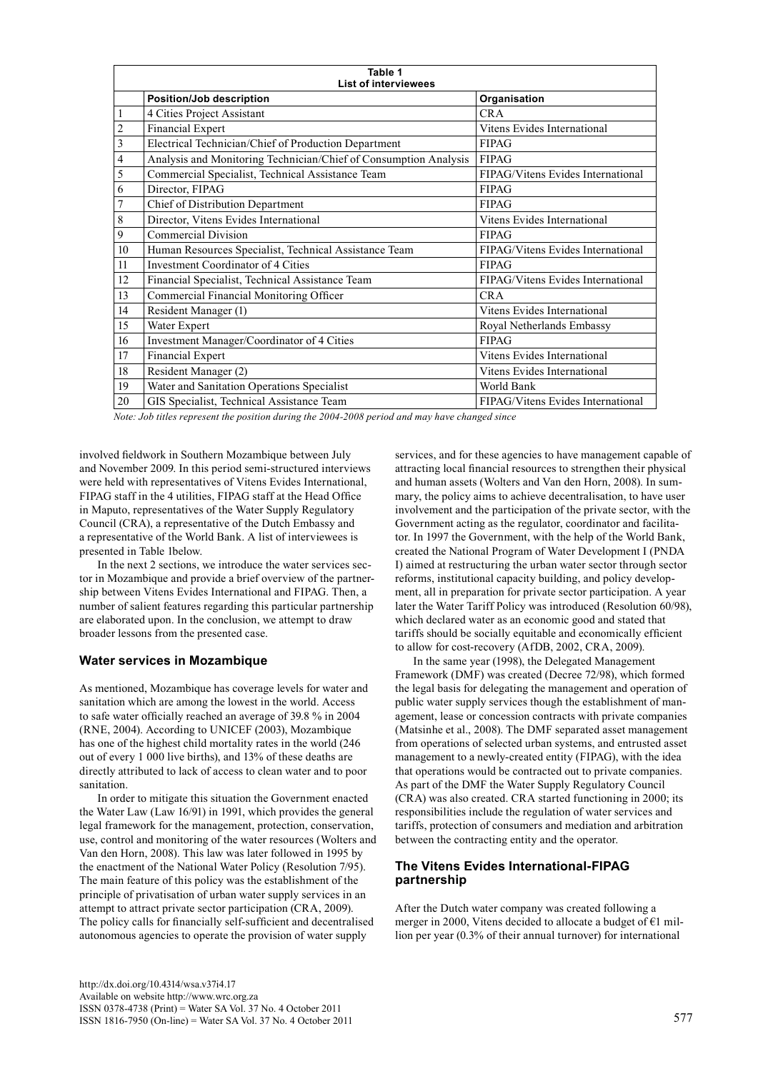| Table 1<br><b>List of interviewees</b> |                                                                  |                                   |  |  |  |  |  |  |
|----------------------------------------|------------------------------------------------------------------|-----------------------------------|--|--|--|--|--|--|
|                                        | Position/Job description                                         | Organisation                      |  |  |  |  |  |  |
| $\mathbf{1}$                           | 4 Cities Project Assistant                                       | <b>CRA</b>                        |  |  |  |  |  |  |
| $\overline{c}$                         | Financial Expert                                                 | Vitens Evides International       |  |  |  |  |  |  |
| $\overline{\mathbf{3}}$                | Electrical Technician/Chief of Production Department             | <b>FIPAG</b>                      |  |  |  |  |  |  |
| $\overline{4}$                         | Analysis and Monitoring Technician/Chief of Consumption Analysis | <b>FIPAG</b>                      |  |  |  |  |  |  |
| 5                                      | Commercial Specialist, Technical Assistance Team                 | FIPAG/Vitens Evides International |  |  |  |  |  |  |
| $\sqrt{6}$                             | Director, FIPAG                                                  | <b>FIPAG</b>                      |  |  |  |  |  |  |
| $\overline{7}$                         | Chief of Distribution Department                                 | <b>FIPAG</b>                      |  |  |  |  |  |  |
| 8                                      | Director, Vitens Evides International                            | Vitens Evides International       |  |  |  |  |  |  |
| 9                                      | <b>Commercial Division</b>                                       | <b>FIPAG</b>                      |  |  |  |  |  |  |
| 10                                     | Human Resources Specialist, Technical Assistance Team            | FIPAG/Vitens Evides International |  |  |  |  |  |  |
| 11                                     | <b>Investment Coordinator of 4 Cities</b>                        | <b>FIPAG</b>                      |  |  |  |  |  |  |
| 12                                     | Financial Specialist, Technical Assistance Team                  | FIPAG/Vitens Evides International |  |  |  |  |  |  |
| 13                                     | Commercial Financial Monitoring Officer                          | <b>CRA</b>                        |  |  |  |  |  |  |
| 14                                     | Resident Manager (1)                                             | Vitens Evides International       |  |  |  |  |  |  |
| 15                                     | Water Expert                                                     | Royal Netherlands Embassy         |  |  |  |  |  |  |
| 16                                     | Investment Manager/Coordinator of 4 Cities                       | <b>FIPAG</b>                      |  |  |  |  |  |  |
| 17                                     | Financial Expert                                                 | Vitens Evides International       |  |  |  |  |  |  |
| 18                                     | Resident Manager (2)                                             | Vitens Evides International       |  |  |  |  |  |  |
| 19                                     | Water and Sanitation Operations Specialist                       | World Bank                        |  |  |  |  |  |  |
| 20                                     | GIS Specialist, Technical Assistance Team                        | FIPAG/Vitens Evides International |  |  |  |  |  |  |

*Note: Job titles represent the position during the 2004-2008 period and may have changed since*

involved fieldwork in Southern Mozambique between July and November 2009. In this period semi-structured interviews were held with representatives of Vitens Evides International. FIPAG staff in the 4 utilities, FIPAG staff at the Head Office in Maputo, representatives of the Water Supply Regulatory Council (CRA), a representative of the Dutch Embassy and a representative of the World Bank. A list of interviewees is presented in Table 1below.

In the next 2 sections, we introduce the water services sector in Mozambique and provide a brief overview of the partnership between Vitens Evides International and FIPAG. Then, a number of salient features regarding this particular partnership are elaborated upon. In the conclusion, we attempt to draw broader lessons from the presented case.

# **Water services in Mozambique**

As mentioned, Mozambique has coverage levels for water and sanitation which are among the lowest in the world. Access to safe water officially reached an average of 39.8 % in 2004 (RNE, 2004). According to UNICEF (2003), Mozambique has one of the highest child mortality rates in the world (246 out of every 1 000 live births), and 13% of these deaths are directly attributed to lack of access to clean water and to poor sanitation.

In order to mitigate this situation the Government enacted the Water Law (Law 16/91) in 1991, which provides the general legal framework for the management, protection, conservation, use, control and monitoring of the water resources (Wolters and Van den Horn, 2008). This law was later followed in 1995 by the enactment of the National Water Policy (Resolution 7/95). The main feature of this policy was the establishment of the principle of privatisation of urban water supply services in an attempt to attract private sector participation (CRA, 2009). The policy calls for financially self-sufficient and decentralised autonomous agencies to operate the provision of water supply

and human assets (Wolters and Van den Horn, 2008). In summary, the policy aims to achieve decentralisation, to have user involvement and the participation of the private sector, with the Government acting as the regulator, coordinator and facilitator. In 1997 the Government, with the help of the World Bank, created the National Program of Water Development I (PNDA I) aimed at restructuring the urban water sector through sector reforms, institutional capacity building, and policy development, all in preparation for private sector participation. A year later the Water Tariff Policy was introduced (Resolution 60/98), which declared water as an economic good and stated that tariffs should be socially equitable and economically efficient to allow for cost-recovery (AfDB, 2002, CRA, 2009). In the same year (1998), the Delegated Management

services, and for these agencies to have management capable of attracting local financial resources to strengthen their physical

Framework (DMF) was created (Decree 72/98), which formed the legal basis for delegating the management and operation of public water supply services though the establishment of management, lease or concession contracts with private companies (Matsinhe et al., 2008). The DMF separated asset management from operations of selected urban systems, and entrusted asset management to a newly-created entity (FIPAG), with the idea that operations would be contracted out to private companies. As part of the DMF the Water Supply Regulatory Council (CRA) was also created. CRA started functioning in 2000; its responsibilities include the regulation of water services and tariffs, protection of consumers and mediation and arbitration between the contracting entity and the operator.

# **The Vitens Evides International-FIPAG partnership**

After the Dutch water company was created following a merger in 2000, Vitens decided to allocate a budget of  $\epsilon$ 1 million per year (0.3% of their annual turnover) for international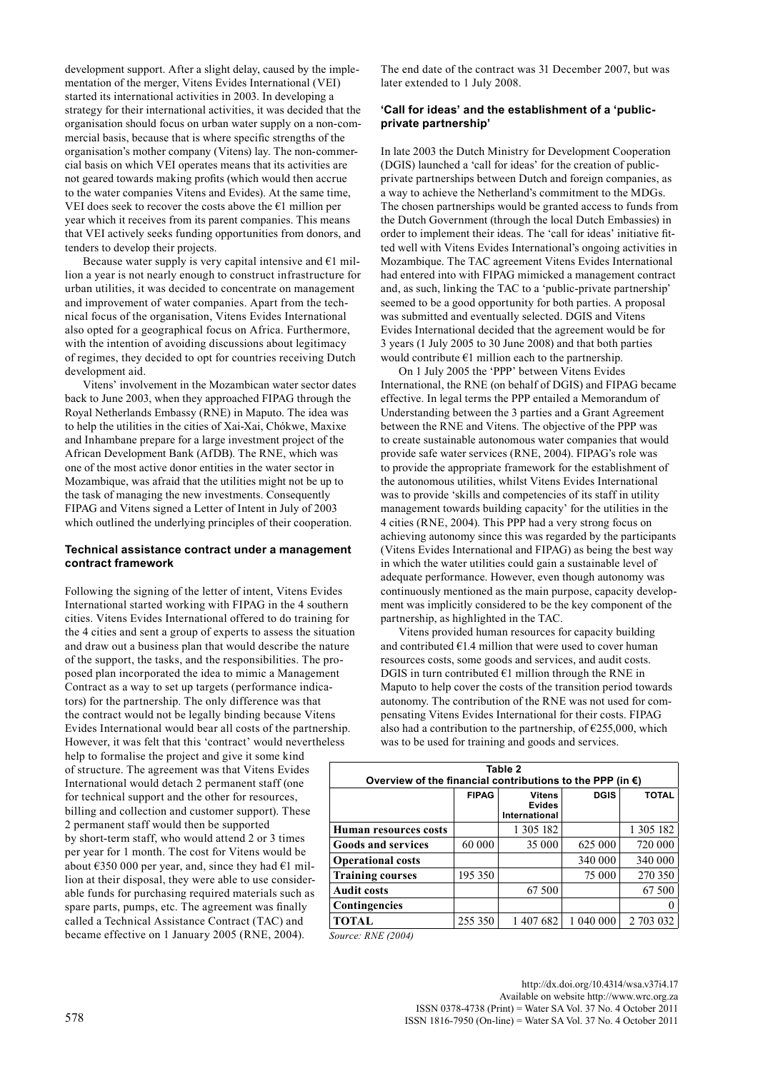development support. After a slight delay, caused by the implementation of the merger, Vitens Evides International (VEI) started its international activities in 2003. In developing a strategy for their international activities, it was decided that the organisation should focus on urban water supply on a non-commercial basis, because that is where specific strengths of the organisation's mother company (Vitens) lay. The non-commercial basis on which VEI operates means that its activities are not geared towards making profits (which would then accrue to the water companies Vitens and Evides). At the same time, VEI does seek to recover the costs above the  $\epsilon$ 1 million per year which it receives from its parent companies. This means that VEI actively seeks funding opportunities from donors, and tenders to develop their projects.

Because water supply is very capital intensive and  $E1$  million a year is not nearly enough to construct infrastructure for urban utilities, it was decided to concentrate on management and improvement of water companies. Apart from the technical focus of the organisation, Vitens Evides International also opted for a geographical focus on Africa. Furthermore, with the intention of avoiding discussions about legitimacy of regimes, they decided to opt for countries receiving Dutch development aid.

Vitens' involvement in the Mozambican water sector dates back to June 2003, when they approached FIPAG through the Royal Netherlands Embassy (RNE) in Maputo. The idea was to help the utilities in the cities of Xai-Xai, Chókwe, Maxixe and Inhambane prepare for a large investment project of the African Development Bank (AfDB). The RNE, which was one of the most active donor entities in the water sector in Mozambique, was afraid that the utilities might not be up to the task of managing the new investments. Consequently FIPAG and Vitens signed a Letter of Intent in July of 2003 which outlined the underlying principles of their cooperation.

## **Technical assistance contract under a management contract framework**

Following the signing of the letter of intent, Vitens Evides International started working with FIPAG in the 4 southern cities. Vitens Evides International offered to do training for the 4 cities and sent a group of experts to assess the situation and draw out a business plan that would describe the nature of the support, the tasks, and the responsibilities. The proposed plan incorporated the idea to mimic a Management Contract as a way to set up targets (performance indicators) for the partnership. The only difference was that the contract would not be legally binding because Vitens Evides International would bear all costs of the partnership. However, it was felt that this 'contract' would nevertheless help to formalise the project and give it some kind of structure. The agreement was that Vitens Evides International would detach 2 permanent staff (one for technical support and the other for resources, billing and collection and customer support). These 2 permanent staff would then be supported by short-term staff, who would attend 2 or 3 times per year for 1 month. The cost for Vitens would be about  $\epsilon$ 350 000 per year, and, since they had  $\epsilon$ 1 million at their disposal, they were able to use considerable funds for purchasing required materials such as spare parts, pumps, etc. The agreement was finally called a Technical Assistance Contract (TAC) and became effective on 1 January 2005 (RNE, 2004).

The end date of the contract was 31 December 2007, but was later extended to 1 July 2008.

## **'Call for ideas' and the establishment of a 'publicprivate partnership'**

In late 2003 the Dutch Ministry for Development Cooperation (DGIS) launched a 'call for ideas' for the creation of publicprivate partnerships between Dutch and foreign companies, as a way to achieve the Netherland's commitment to the MDGs. The chosen partnerships would be granted access to funds from the Dutch Government (through the local Dutch Embassies) in order to implement their ideas. The 'call for ideas' initiative fitted well with Vitens Evides International's ongoing activities in Mozambique. The TAC agreement Vitens Evides International had entered into with FIPAG mimicked a management contract and, as such, linking the TAC to a 'public-private partnership' seemed to be a good opportunity for both parties. A proposal was submitted and eventually selected. DGIS and Vitens Evides International decided that the agreement would be for 3 years (1 July 2005 to 30 June 2008) and that both parties would contribute  $\epsilon$ 1 million each to the partnership.

On 1 July 2005 the 'PPP' between Vitens Evides International, the RNE (on behalf of DGIS) and FIPAG became effective. In legal terms the PPP entailed a Memorandum of Understanding between the 3 parties and a Grant Agreement between the RNE and Vitens. The objective of the PPP was to create sustainable autonomous water companies that would provide safe water services (RNE, 2004). FIPAG's role was to provide the appropriate framework for the establishment of the autonomous utilities, whilst Vitens Evides International was to provide 'skills and competencies of its staff in utility management towards building capacity' for the utilities in the 4 cities (RNE, 2004). This PPP had a very strong focus on achieving autonomy since this was regarded by the participants (Vitens Evides International and FIPAG) as being the best way in which the water utilities could gain a sustainable level of adequate performance. However, even though autonomy was continuously mentioned as the main purpose, capacity development was implicitly considered to be the key component of the partnership, as highlighted in the TAC.

Vitens provided human resources for capacity building and contributed  $E1.4$  million that were used to cover human resources costs, some goods and services, and audit costs. DGIS in turn contributed  $\epsilon$ 1 million through the RNE in Maputo to help cover the costs of the transition period towards autonomy. The contribution of the RNE was not used for compensating Vitens Evides International for their costs. FIPAG also had a contribution to the partnership, of  $\epsilon$ 255,000, which was to be used for training and goods and services.

| Table 2<br>Overview of the financial contributions to the PPP (in $\xi$ ) |              |                                                 |             |              |  |  |  |  |  |  |
|---------------------------------------------------------------------------|--------------|-------------------------------------------------|-------------|--------------|--|--|--|--|--|--|
|                                                                           | <b>FIPAG</b> | <b>Vitens</b><br><b>Evides</b><br>International | <b>DGIS</b> | <b>TOTAL</b> |  |  |  |  |  |  |
| <b>Human resources costs</b>                                              |              | 1 305 182                                       |             | 1 305 182    |  |  |  |  |  |  |
| <b>Goods and services</b>                                                 | 60 000       | 35 000                                          | 625 000     | 720 000      |  |  |  |  |  |  |
| <b>Operational costs</b>                                                  |              |                                                 | 340 000     | 340 000      |  |  |  |  |  |  |
| <b>Training courses</b>                                                   | 195 350      |                                                 | 75 000      | 270 350      |  |  |  |  |  |  |
| <b>Audit costs</b>                                                        |              | 67 500                                          |             | 67 500       |  |  |  |  |  |  |
| Contingencies                                                             |              |                                                 |             |              |  |  |  |  |  |  |
| TOTAL                                                                     | 255 350      | 1 407 682                                       | 1 040 000   | 2 703 032    |  |  |  |  |  |  |
|                                                                           |              |                                                 |             |              |  |  |  |  |  |  |

*Source: RNE (2004)*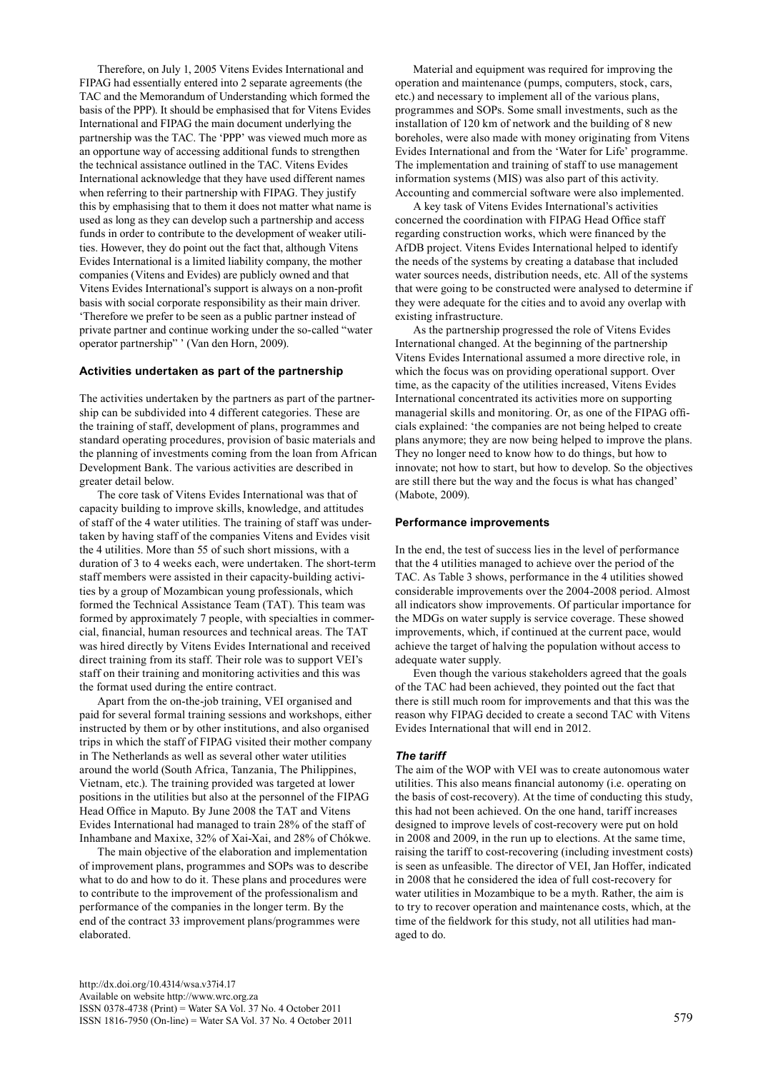Therefore, on July 1, 2005 Vitens Evides International and FIPAG had essentially entered into 2 separate agreements (the TAC and the Memorandum of Understanding which formed the basis of the PPP). It should be emphasised that for Vitens Evides International and FIPAG the main document underlying the partnership was the TAC. The 'PPP' was viewed much more as an opportune way of accessing additional funds to strengthen the technical assistance outlined in the TAC. Vitens Evides International acknowledge that they have used different names when referring to their partnership with FIPAG. They justify this by emphasising that to them it does not matter what name is used as long as they can develop such a partnership and access funds in order to contribute to the development of weaker utilities. However, they do point out the fact that, although Vitens Evides International is a limited liability company, the mother companies (Vitens and Evides) are publicly owned and that Vitens Evides International's support is always on a non-profit basis with social corporate responsibility as their main driver. 'Therefore we prefer to be seen as a public partner instead of private partner and continue working under the so-called "water operator partnership" ' (Van den Horn, 2009).

#### **Activities undertaken as part of the partnership**

The activities undertaken by the partners as part of the partnership can be subdivided into 4 different categories. These are the training of staff, development of plans, programmes and standard operating procedures, provision of basic materials and the planning of investments coming from the loan from African Development Bank. The various activities are described in greater detail below.

The core task of Vitens Evides International was that of capacity building to improve skills, knowledge, and attitudes of staff of the 4 water utilities. The training of staff was undertaken by having staff of the companies Vitens and Evides visit the 4 utilities. More than 55 of such short missions, with a duration of 3 to 4 weeks each, were undertaken. The short-term staff members were assisted in their capacity-building activities by a group of Mozambican young professionals, which formed the Technical Assistance Team (TAT). This team was formed by approximately 7 people, with specialties in commercial, financial, human resources and technical areas. The TAT was hired directly by Vitens Evides International and received direct training from its staff. Their role was to support VEI's staff on their training and monitoring activities and this was the format used during the entire contract.

Apart from the on-the-job training, VEI organised and paid for several formal training sessions and workshops, either instructed by them or by other institutions, and also organised trips in which the staff of FIPAG visited their mother company in The Netherlands as well as several other water utilities around the world (South Africa, Tanzania, The Philippines, Vietnam, etc.). The training provided was targeted at lower positions in the utilities but also at the personnel of the FIPAG Head Office in Maputo. By June 2008 the TAT and Vitens Evides International had managed to train 28% of the staff of Inhambane and Maxixe, 32% of Xai-Xai, and 28% of Chókwe.

The main objective of the elaboration and implementation of improvement plans, programmes and SOPs was to describe what to do and how to do it. These plans and procedures were to contribute to the improvement of the professionalism and performance of the companies in the longer term. By the end of the contract 33 improvement plans/programmes were elaborated.

Material and equipment was required for improving the operation and maintenance (pumps, computers, stock, cars, etc.) and necessary to implement all of the various plans, programmes and SOPs. Some small investments, such as the installation of 120 km of network and the building of 8 new boreholes, were also made with money originating from Vitens Evides International and from the 'Water for Life' programme. The implementation and training of staff to use management information systems (MIS) was also part of this activity. Accounting and commercial software were also implemented.

A key task of Vitens Evides International's activities concerned the coordination with FIPAG Head Office staff regarding construction works, which were financed by the AfDB project. Vitens Evides International helped to identify the needs of the systems by creating a database that included water sources needs, distribution needs, etc. All of the systems that were going to be constructed were analysed to determine if they were adequate for the cities and to avoid any overlap with existing infrastructure.

As the partnership progressed the role of Vitens Evides International changed. At the beginning of the partnership Vitens Evides International assumed a more directive role, in which the focus was on providing operational support. Over time, as the capacity of the utilities increased, Vitens Evides International concentrated its activities more on supporting managerial skills and monitoring. Or, as one of the FIPAG officials explained: 'the companies are not being helped to create plans anymore; they are now being helped to improve the plans. They no longer need to know how to do things, but how to innovate; not how to start, but how to develop. So the objectives are still there but the way and the focus is what has changed' (Mabote, 2009).

#### **Performance improvements**

In the end, the test of success lies in the level of performance that the 4 utilities managed to achieve over the period of the TAC. As Table 3 shows, performance in the 4 utilities showed considerable improvements over the 2004-2008 period. Almost all indicators show improvements. Of particular importance for the MDGs on water supply is service coverage. These showed improvements, which, if continued at the current pace, would achieve the target of halving the population without access to adequate water supply.

Even though the various stakeholders agreed that the goals of the TAC had been achieved, they pointed out the fact that there is still much room for improvements and that this was the reason why FIPAG decided to create a second TAC with Vitens Evides International that will end in 2012.

## *The tariff*

The aim of the WOP with VEI was to create autonomous water utilities. This also means financial autonomy (i.e. operating on the basis of cost-recovery). At the time of conducting this study, this had not been achieved. On the one hand, tariff increases designed to improve levels of cost-recovery were put on hold in 2008 and 2009, in the run up to elections. At the same time, raising the tariff to cost-recovering (including investment costs) is seen as unfeasible. The director of VEI, Jan Hoffer, indicated in 2008 that he considered the idea of full cost-recovery for water utilities in Mozambique to be a myth. Rather, the aim is to try to recover operation and maintenance costs, which, at the time of the fieldwork for this study, not all utilities had managed to do.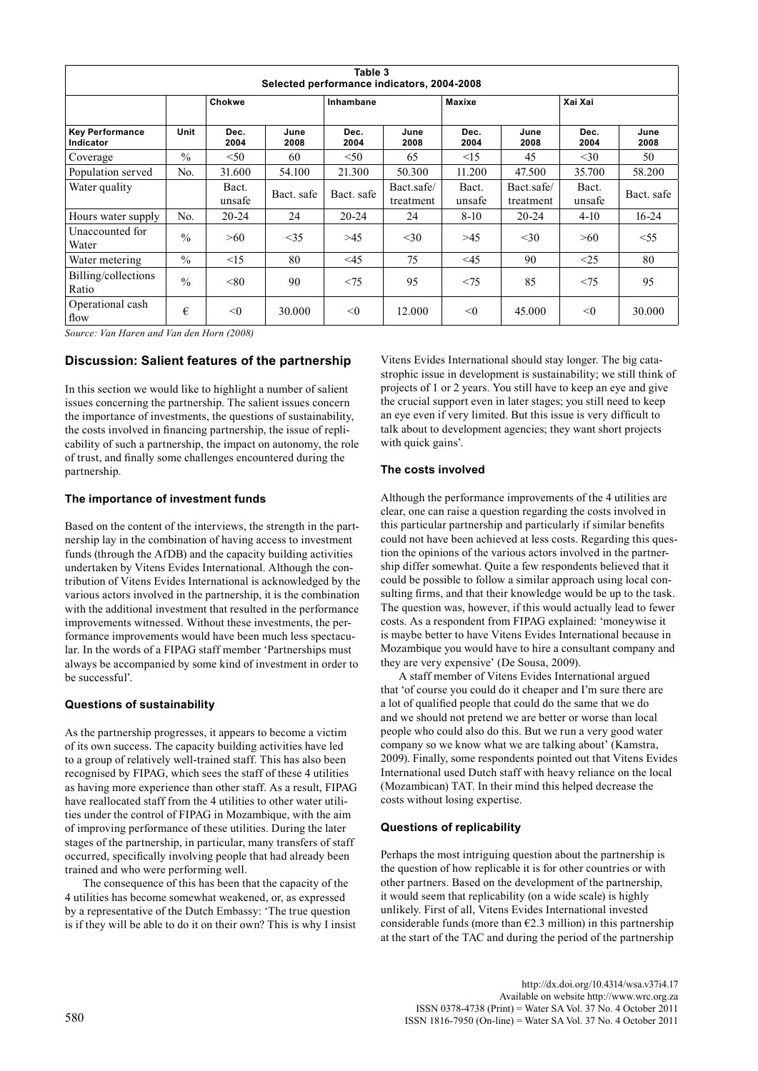| Table 3<br>Selected performance indicators, 2004-2008 |               |                 |              |              |                         |                 |                         |                 |              |  |  |
|-------------------------------------------------------|---------------|-----------------|--------------|--------------|-------------------------|-----------------|-------------------------|-----------------|--------------|--|--|
| Chokwe                                                |               | Inhambane       |              | Maxixe       |                         | Xai Xai         |                         |                 |              |  |  |
| <b>Key Performance</b><br>Indicator                   | Unit          | Dec.<br>2004    | June<br>2008 | Dec.<br>2004 | June<br>2008            | Dec.<br>2004    | June<br>2008            | Dec.<br>2004    | June<br>2008 |  |  |
| Coverage                                              | $\frac{0}{0}$ | < 50            | 60           | < 50         | 65                      | $\leq$ 15       | 45                      | $30$            | 50           |  |  |
| Population served                                     | No.           | 31.600          | 54.100       | 21.300       | 50.300                  | 11.200          | 47.500                  | 35.700          | 58.200       |  |  |
| Water quality                                         |               | Bact.<br>unsafe | Bact, safe   | Bact. safe   | Bact.safe/<br>treatment | Bact.<br>unsafe | Bact.safe/<br>treatment | Bact.<br>unsafe | Bact. safe   |  |  |
| Hours water supply                                    | No.           | $20 - 24$       | 24           | $20 - 24$    | 24                      | $8-10$          | $20 - 24$               | $4-10$          | $16 - 24$    |  |  |
| Unaccounted for<br>Water                              | $\frac{0}{0}$ | >60             | $<$ 35       | >45          | <30                     | >45             | $<$ 30                  | >60             | $<$ 55       |  |  |
| Water metering                                        | $\frac{0}{0}$ | $\leq$ 15       | 80           | $<$ 45       | 75                      | <45             | 90                      | $\leq$ 25       | 80           |  |  |
| Billing/collections<br>Ratio                          | $\frac{0}{0}$ | < 80            | 90           | < 75         | 95                      | < 75            | 85                      | < 75            | 95           |  |  |
| Operational cash<br>flow                              | €             | < 0             | 30,000       | < 0          | 12.000                  | < 0             | 45.000                  | < 0             | 30.000       |  |  |

*Source: Van Haren and Van den Horn (2008)*

## **Discussion: Salient features of the partnership**

In this section we would like to highlight a number of salient issues concerning the partnership. The salient issues concern the importance of investments, the questions of sustainability, the costs involved in financing partnership, the issue of replicability of such a partnership, the impact on autonomy, the role of trust, and finally some challenges encountered during the partnership.

## **The importance of investment funds**

Based on the content of the interviews, the strength in the partnership lay in the combination of having access to investment funds (through the AfDB) and the capacity building activities undertaken by Vitens Evides International. Although the contribution of Vitens Evides International is acknowledged by the various actors involved in the partnership, it is the combination with the additional investment that resulted in the performance improvements witnessed. Without these investments, the performance improvements would have been much less spectacular. In the words of a FIPAG staff member 'Partnerships must always be accompanied by some kind of investment in order to be successful'.

# **Questions of sustainability**

As the partnership progresses, it appears to become a victim of its own success. The capacity building activities have led to a group of relatively well-trained staff. This has also been recognised by FIPAG, which sees the staff of these 4 utilities as having more experience than other staff. As a result, FIPAG have reallocated staff from the 4 utilities to other water utilities under the control of FIPAG in Mozambique, with the aim of improving performance of these utilities. During the later stages of the partnership, in particular, many transfers of staff occurred, specifically involving people that had already been trained and who were performing well.

The consequence of this has been that the capacity of the 4 utilities has become somewhat weakened, or, as expressed by a representative of the Dutch Embassy: 'The true question is if they will be able to do it on their own? This is why I insist

Vitens Evides International should stay longer. The big catastrophic issue in development is sustainability; we still think of projects of 1 or 2 years. You still have to keep an eye and give the crucial support even in later stages; you still need to keep an eye even if very limited. But this issue is very difficult to talk about to development agencies; they want short projects with quick gains'.

#### **The costs involved**

Although the performance improvements of the 4 utilities are clear, one can raise a question regarding the costs involved in this particular partnership and particularly if similar benefits could not have been achieved at less costs. Regarding this question the opinions of the various actors involved in the partnership differ somewhat. Quite a few respondents believed that it could be possible to follow a similar approach using local consulting firms, and that their knowledge would be up to the task. The question was, however, if this would actually lead to fewer costs. As a respondent from FIPAG explained: 'moneywise it is maybe better to have Vitens Evides International because in Mozambique you would have to hire a consultant company and they are very expensive' (De Sousa, 2009).

A staff member of Vitens Evides International argued that 'of course you could do it cheaper and I'm sure there are a lot of qualified people that could do the same that we do and we should not pretend we are better or worse than local people who could also do this. But we run a very good water company so we know what we are talking about' (Kamstra, 2009). Finally, some respondents pointed out that Vitens Evides International used Dutch staff with heavy reliance on the local (Mozambican) TAT. In their mind this helped decrease the costs without losing expertise.

## **Questions of replicability**

Perhaps the most intriguing question about the partnership is the question of how replicable it is for other countries or with other partners. Based on the development of the partnership, it would seem that replicability (on a wide scale) is highly unlikely. First of all, Vitens Evides International invested considerable funds (more than  $E$ 2.3 million) in this partnership at the start of the TAC and during the period of the partnership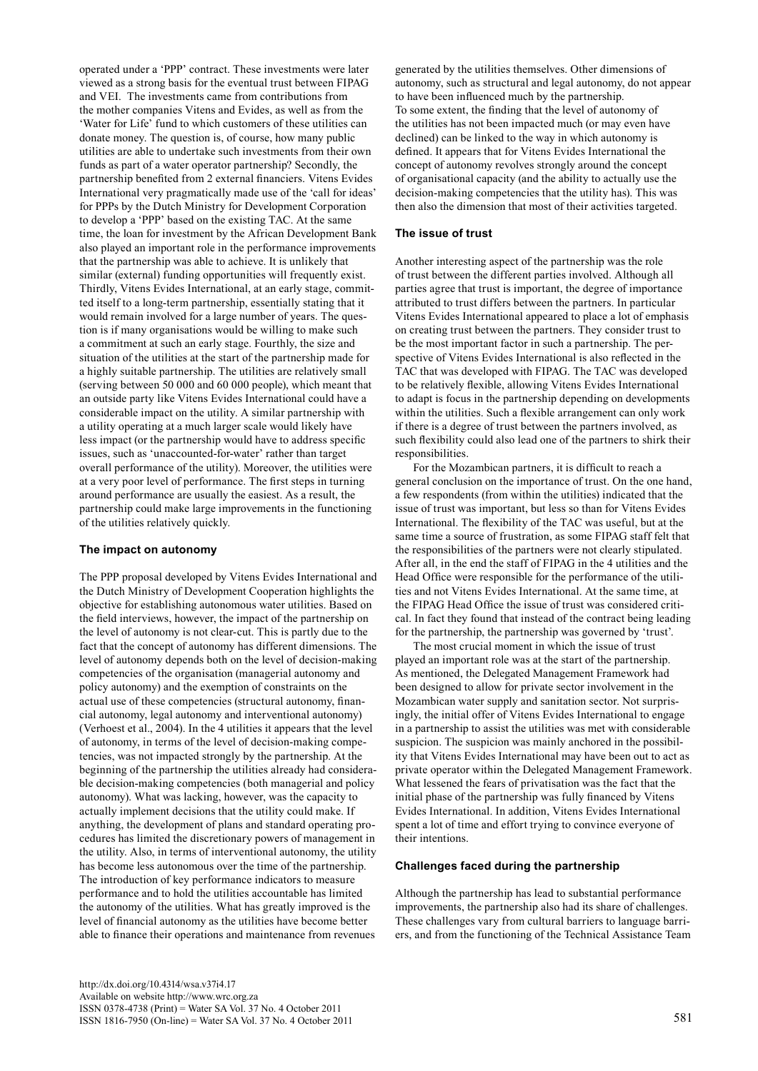operated under a 'PPP' contract. These investments were later viewed as a strong basis for the eventual trust between FIPAG and VEI. The investments came from contributions from the mother companies Vitens and Evides, as well as from the 'Water for Life' fund to which customers of these utilities can donate money. The question is, of course, how many public utilities are able to undertake such investments from their own funds as part of a water operator partnership? Secondly, the partnership benefited from 2 external financiers. Vitens Evides International very pragmatically made use of the 'call for ideas' for PPPs by the Dutch Ministry for Development Corporation to develop a 'PPP' based on the existing TAC. At the same time, the loan for investment by the African Development Bank also played an important role in the performance improvements that the partnership was able to achieve. It is unlikely that similar (external) funding opportunities will frequently exist. Thirdly, Vitens Evides International, at an early stage, committed itself to a long-term partnership, essentially stating that it would remain involved for a large number of years. The question is if many organisations would be willing to make such a commitment at such an early stage. Fourthly, the size and situation of the utilities at the start of the partnership made for a highly suitable partnership. The utilities are relatively small (serving between 50 000 and 60 000 people), which meant that an outside party like Vitens Evides International could have a considerable impact on the utility. A similar partnership with a utility operating at a much larger scale would likely have less impact (or the partnership would have to address specific issues, such as 'unaccounted-for-water' rather than target overall performance of the utility). Moreover, the utilities were at a very poor level of performance. The first steps in turning around performance are usually the easiest. As a result, the partnership could make large improvements in the functioning of the utilities relatively quickly.

# **The impact on autonomy**

The PPP proposal developed by Vitens Evides International and the Dutch Ministry of Development Cooperation highlights the objective for establishing autonomous water utilities. Based on the field interviews, however, the impact of the partnership on the level of autonomy is not clear-cut. This is partly due to the fact that the concept of autonomy has different dimensions. The level of autonomy depends both on the level of decision-making competencies of the organisation (managerial autonomy and policy autonomy) and the exemption of constraints on the actual use of these competencies (structural autonomy, financial autonomy, legal autonomy and interventional autonomy) (Verhoest et al., 2004). In the 4 utilities it appears that the level of autonomy, in terms of the level of decision-making competencies, was not impacted strongly by the partnership. At the beginning of the partnership the utilities already had considerable decision-making competencies (both managerial and policy autonomy). What was lacking, however, was the capacity to actually implement decisions that the utility could make. If anything, the development of plans and standard operating procedures has limited the discretionary powers of management in the utility. Also, in terms of interventional autonomy, the utility has become less autonomous over the time of the partnership. The introduction of key performance indicators to measure performance and to hold the utilities accountable has limited the autonomy of the utilities. What has greatly improved is the level of financial autonomy as the utilities have become better able to finance their operations and maintenance from revenues

generated by the utilities themselves. Other dimensions of autonomy, such as structural and legal autonomy, do not appear to have been influenced much by the partnership. To some extent, the finding that the level of autonomy of the utilities has not been impacted much (or may even have declined) can be linked to the way in which autonomy is defined. It appears that for Vitens Evides International the concept of autonomy revolves strongly around the concept of organisational capacity (and the ability to actually use the decision-making competencies that the utility has). This was then also the dimension that most of their activities targeted.

# **The issue of trust**

Another interesting aspect of the partnership was the role of trust between the different parties involved. Although all parties agree that trust is important, the degree of importance attributed to trust differs between the partners. In particular Vitens Evides International appeared to place a lot of emphasis on creating trust between the partners. They consider trust to be the most important factor in such a partnership. The perspective of Vitens Evides International is also reflected in the TAC that was developed with FIPAG. The TAC was developed to be relatively flexible, allowing Vitens Evides International to adapt is focus in the partnership depending on developments within the utilities. Such a flexible arrangement can only work if there is a degree of trust between the partners involved, as such flexibility could also lead one of the partners to shirk their responsibilities.

For the Mozambican partners, it is difficult to reach a general conclusion on the importance of trust. On the one hand, a few respondents (from within the utilities) indicated that the issue of trust was important, but less so than for Vitens Evides International. The flexibility of the TAC was useful, but at the same time a source of frustration, as some FIPAG staff felt that the responsibilities of the partners were not clearly stipulated. After all, in the end the staff of FIPAG in the 4 utilities and the Head Office were responsible for the performance of the utilities and not Vitens Evides International. At the same time, at the FIPAG Head Office the issue of trust was considered critical. In fact they found that instead of the contract being leading for the partnership, the partnership was governed by 'trust'.

The most crucial moment in which the issue of trust played an important role was at the start of the partnership. As mentioned, the Delegated Management Framework had been designed to allow for private sector involvement in the Mozambican water supply and sanitation sector. Not surprisingly, the initial offer of Vitens Evides International to engage in a partnership to assist the utilities was met with considerable suspicion. The suspicion was mainly anchored in the possibility that Vitens Evides International may have been out to act as private operator within the Delegated Management Framework. What lessened the fears of privatisation was the fact that the initial phase of the partnership was fully financed by Vitens Evides International. In addition, Vitens Evides International spent a lot of time and effort trying to convince everyone of their intentions.

## **Challenges faced during the partnership**

Although the partnership has lead to substantial performance improvements, the partnership also had its share of challenges. These challenges vary from cultural barriers to language barriers, and from the functioning of the Technical Assistance Team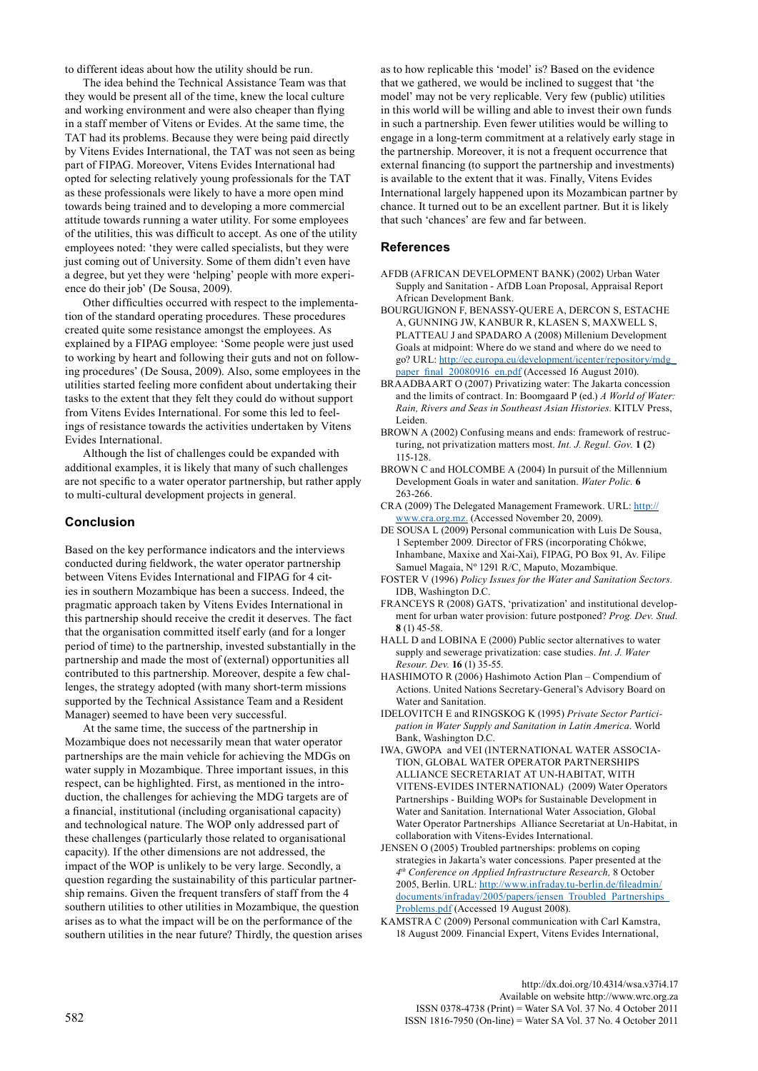to different ideas about how the utility should be run.

The idea behind the Technical Assistance Team was that they would be present all of the time, knew the local culture and working environment and were also cheaper than flying in a staff member of Vitens or Evides. At the same time, the TAT had its problems. Because they were being paid directly by Vitens Evides International, the TAT was not seen as being part of FIPAG. Moreover, Vitens Evides International had opted for selecting relatively young professionals for the TAT as these professionals were likely to have a more open mind towards being trained and to developing a more commercial attitude towards running a water utility. For some employees of the utilities, this was difficult to accept. As one of the utility employees noted: 'they were called specialists, but they were just coming out of University. Some of them didn't even have a degree, but yet they were 'helping' people with more experience do their job' (De Sousa, 2009).

Other difficulties occurred with respect to the implementation of the standard operating procedures. These procedures created quite some resistance amongst the employees. As explained by a FIPAG employee: 'Some people were just used to working by heart and following their guts and not on following procedures' (De Sousa, 2009). Also, some employees in the utilities started feeling more confident about undertaking their tasks to the extent that they felt they could do without support from Vitens Evides International. For some this led to feelings of resistance towards the activities undertaken by Vitens Evides International.

Although the list of challenges could be expanded with additional examples, it is likely that many of such challenges are not specific to a water operator partnership, but rather apply to multi-cultural development projects in general.

# **Conclusion**

Based on the key performance indicators and the interviews conducted during fieldwork, the water operator partnership between Vitens Evides International and FIPAG for 4 cities in southern Mozambique has been a success. Indeed, the pragmatic approach taken by Vitens Evides International in this partnership should receive the credit it deserves. The fact that the organisation committed itself early (and for a longer period of time) to the partnership, invested substantially in the partnership and made the most of (external) opportunities all contributed to this partnership. Moreover, despite a few challenges, the strategy adopted (with many short-term missions supported by the Technical Assistance Team and a Resident Manager) seemed to have been very successful.

At the same time, the success of the partnership in Mozambique does not necessarily mean that water operator partnerships are the main vehicle for achieving the MDGs on water supply in Mozambique. Three important issues, in this respect, can be highlighted. First, as mentioned in the introduction, the challenges for achieving the MDG targets are of a financial, institutional (including organisational capacity) and technological nature. The WOP only addressed part of these challenges (particularly those related to organisational capacity). If the other dimensions are not addressed, the impact of the WOP is unlikely to be very large. Secondly, a question regarding the sustainability of this particular partnership remains. Given the frequent transfers of staff from the 4 southern utilities to other utilities in Mozambique, the question arises as to what the impact will be on the performance of the southern utilities in the near future? Thirdly, the question arises as to how replicable this 'model' is? Based on the evidence that we gathered, we would be inclined to suggest that 'the model' may not be very replicable. Very few (public) utilities in this world will be willing and able to invest their own funds in such a partnership. Even fewer utilities would be willing to engage in a long-term commitment at a relatively early stage in the partnership. Moreover, it is not a frequent occurrence that external financing (to support the partnership and investments) is available to the extent that it was. Finally, Vitens Evides International largely happened upon its Mozambican partner by chance. It turned out to be an excellent partner. But it is likely that such 'chances' are few and far between.

## **References**

- AFDB (AFRICAN DEVELOPMENT BANK) (2002) Urban Water Supply and Sanitation - AfDB Loan Proposal, Appraisal Report African Development Bank.
- BOURGUIGNON F, BENASSY-QUERE A, DERCON S, ESTACHE A, GUNNING JW, KANBUR R, KLASEN S, MAXWELL S, PLATTEAU J and SPADARO A (2008) Millenium Development Goals at midpoint: Where do we stand and where do we need to go? URL: [http://ec.europa.eu/development/icenter/repository/mdg\\_](http://ec.europa.eu/development/icenter/repository/mdg_paper_final_20080916_en.pdf) [paper\\_final\\_20080916\\_en.pdf](http://ec.europa.eu/development/icenter/repository/mdg_paper_final_20080916_en.pdf) (Accessed 16 August 2010).
- BRAADBAART O (2007) Privatizing water: The Jakarta concession and the limits of contract. In: Boomgaard P (ed.) *A World of Water: Rain, Rivers and Seas in Southeast Asian Histories*. KITLV Press, Leiden.
- BROWN A (2002) Confusing means and ends: framework of restructuring, not privatization matters most. *Int. J. Regul. Gov.* **1 (**2) 115-128.
- BROWN C and HOLCOMBE A (2004) In pursuit of the Millennium Development Goals in water and sanitation. *Water Polic.* **6** 263-266.
- CRA (2009) The Delegated Management Framework. URL: http:// www.cra.org.mz. (Accessed November 20, 2009).
- DE SOUSA L (2009) Personal communication with Luis De Sousa, 1 September 2009. Director of FRS (incorporating Chókwe, Inhambane, Maxixe and Xai-Xai), FIPAG, PO Box 91, Av. Filipe Samuel Magaia, Nº 1291 R/C, Maputo, Mozambique.
- FOSTER V (1996) *Policy Issues for the Water and Sanitation Sectors.* IDB, Washington D.C.
- FRANCEYS R (2008) GATS, 'privatization' and institutional development for urban water provision: future postponed? *Prog. Dev. Stud.* **8** (1) 45-58.
- HALL D and LOBINA E (2000) Public sector alternatives to water supply and sewerage privatization: case studies. *Int. J. Water Resour. Dev.* **16** (1) 35-55.
- HASHIMOTO R (2006) Hashimoto Action Plan Compendium of Actions. United Nations Secretary-General's Advisory Board on Water and Sanitation.
- IDELOVITCH E and RINGSKOG K (1995) *Private Sector Participation in Water Supply and Sanitation in Latin America*. World Bank, Washington D.C.
- IWA, GWOPA and VEI (INTERNATIONAL WATER ASSOCIA-TION, GLOBAL WATER OPERATOR PARTNERSHIPS ALLIANCE SECRETARIAT AT UN-HABITAT, WITH VITENS-EVIDES INTERNATIONAL) (2009) Water Operators Partnerships - Building WOPs for Sustainable Development in Water and Sanitation. International Water Association, Global Water Operator Partnerships Alliance Secretariat at Un-Habitat, in collaboration with Vitens-Evides International.
- JENSEN O (2005) Troubled partnerships: problems on coping strategies in Jakarta's water concessions. Paper presented at the *4th Conference on Applied Infrastructure Research,* 8 October 2005, Berlin. URL: [http://www.infraday.tu-berlin.de/fileadmin/](http://www.infraday.tu-berlin.de/fileadmin/documents/infraday/2005/papers/jensen_Troubled_Partnerships_Problems.pdf) documents/infraday/2005/papers/jensen\_Troubled\_Partnerships [Problems.pdf](http://www.infraday.tu-berlin.de/fileadmin/documents/infraday/2005/papers/jensen_Troubled_Partnerships_Problems.pdf) (Accessed 19 August 2008).
- KAMSTRA C (2009) Personal communication with Carl Kamstra, 18 August 2009. Financial Expert, Vitens Evides International,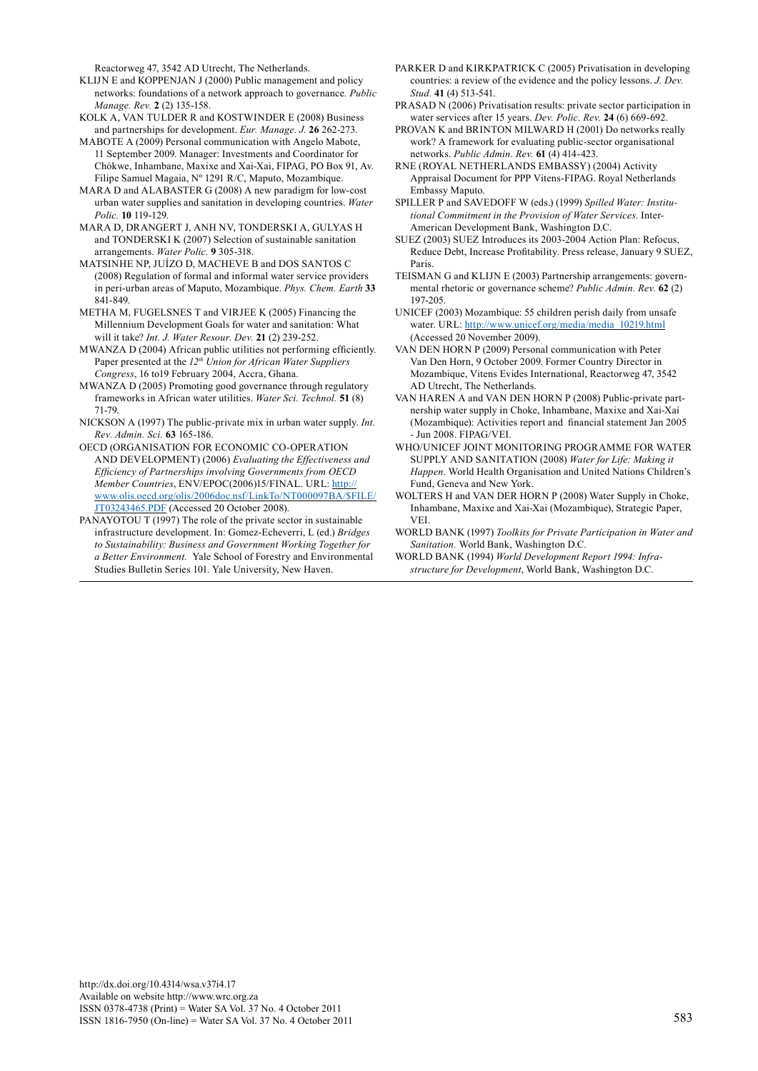Reactorweg 47, 3542 AD Utrecht, The Netherlands.

KLIJN E and KOPPENJAN J (2000) Public management and policy networks: foundations of a network approach to governance*. Public Manage. Rev.* **2** (2) 135-158.

KOLK A, VAN TULDER R and KOSTWINDER E (2008) Business and partnerships for development. *Eur. Manage. J.* **26** 262-273.

MABOTE A (2009) Personal communication with Angelo Mabote, 11 September 2009. Manager: Investments and Coordinator for Chókwe, Inhambane, Maxixe and Xai-Xai, FIPAG, PO Box 91, Av. Filipe Samuel Magaia, Nº 1291 R/C, Maputo, Mozambique.

MARA D and ALABASTER G (2008) A new paradigm for low-cost urban water supplies and sanitation in developing countries. *Water Polic.* **10** 119-129.

MARA D, DRANGERT J, ANH NV, TONDERSKI A, GULYAS H and TONDERSKI K (2007) Selection of sustainable sanitation arrangements. *Water Polic.* **9** 305-318.

- MATSINHE NP, JUÍZO D, MACHEVE B and DOS SANTOS C (2008) Regulation of formal and informal water service providers in peri-urban areas of Maputo, Mozambique. *Phys. Chem. Earth* **33** 841-849.
- METHA M, FUGELSNES T and VIRJEE K (2005) Financing the Millennium Development Goals for water and sanitation: What will it take? *Int. J. Water Resour. Dev.* **21** (2) 239-252.
- MWANZA D (2004) African public utilities not performing efficiently*.* Paper presented at the *12th Union for African Water Suppliers Congress*, 16 to19 February 2004, Accra, Ghana.
- MWANZA D (2005) Promoting good governance through regulatory frameworks in African water utilities. *Water Sci. Technol.* **51** (8) 71-79.

NICKSON A (1997) The public-private mix in urban water supply. *Int. Rev. Admin. Sci.* **63** 165-186.

OECD (ORGANISATION FOR ECONOMIC CO-OPERATION AND DEVELOPMENT) (2006) *Evaluating the Effectiveness and Efficiency of Partnerships involving Governments from OECD Member Countries*, ENV/EPOC(2006)15/FINAL. URL: [http://](http://www.olis.oecd.org/olis/2006doc.nsf/LinkTo/NT000097BA/$FILE/JT03243465.PDF) [www.olis.oecd.org/olis/2006doc.nsf/LinkTo/NT000097BA/\\$FILE/](http://www.olis.oecd.org/olis/2006doc.nsf/LinkTo/NT000097BA/$FILE/JT03243465.PDF) [JT03243465.PDF](http://www.olis.oecd.org/olis/2006doc.nsf/LinkTo/NT000097BA/$FILE/JT03243465.PDF) (Accessed 20 October 2008).

PANAYOTOU T (1997) The role of the private sector in sustainable infrastructure development. In: Gomez-Echeverri, L (ed.) *Bridges to Sustainability: Business and Government Working Together for a Better Environment.* Yale School of Forestry and Environmental Studies Bulletin Series 101. Yale University, New Haven.

PARKER D and KIRKPATRICK C (2005) Privatisation in developing countries: a review of the evidence and the policy lessons. *J. Dev. Stud.* **41** (4) 513-541.

PRASAD N (2006) Privatisation results: private sector participation in water services after 15 years. *Dev. Polic. Rev.* **24** (6) 669-692.

- PROVAN K and BRINTON MILWARD H (2001) Do networks really work? A framework for evaluating public-sector organisational networks. *Public Admin. Rev.* **61** (4) 414-423.
- RNE (ROYAL NETHERLANDS EMBASSY) (2004) Activity Appraisal Document for PPP Vitens-FIPAG. Royal Netherlands Embassy Maputo.

SPILLER P and SAVEDOFF W (eds.) (1999) *Spilled Water: Institutional Commitment in the Provision of Water Services*. Inter-American Development Bank, Washington D.C.

SUEZ (2003) SUEZ Introduces its 2003-2004 Action Plan: Refocus, Reduce Debt, Increase Profitability. Press release, January 9 SUEZ, Paris.

- TEISMAN G and KLIJN E (2003) Partnership arrangements: governmental rhetoric or governance scheme? *Public Admin. Rev.* **62** (2) 197-205.
- UNICEF (2003) Mozambique: 55 children perish daily from unsafe water. URL: http://www.unicef.org/media/media\_10219.html (Accessed 20 November 2009).
- VAN DEN HORN P (2009) Personal communication with Peter Van Den Horn, 9 October 2009. Former Country Director in Mozambique, Vitens Evides International, Reactorweg 47, 3542 AD Utrecht, The Netherlands.
- VAN HAREN A and VAN DEN HORN P (2008) Public-private partnership water supply in Choke, Inhambane, Maxixe and Xai-Xai (Mozambique): Activities report and financial statement Jan 2005 - Jun 2008. FIPAG/VEI.
- WHO/UNICEF JOINT MONITORING PROGRAMME FOR WATER SUPPLY AND SANITATION (2008) *Water for Life: Making it Happen*. World Health Organisation and United Nations Children's Fund, Geneva and New York.
- WOLTERS H and VAN DER HORN P (2008) Water Supply in Choke, Inhambane, Maxixe and Xai-Xai (Mozambique), Strategic Paper, VEI.
- WORLD BANK (1997) *Toolkits for Private Participation in Water and Sanitation.* World Bank, Washington D.C.
- WORLD BANK (1994) *World Development Report 1994: Infrastructure for Development*, World Bank, Washington D.C.